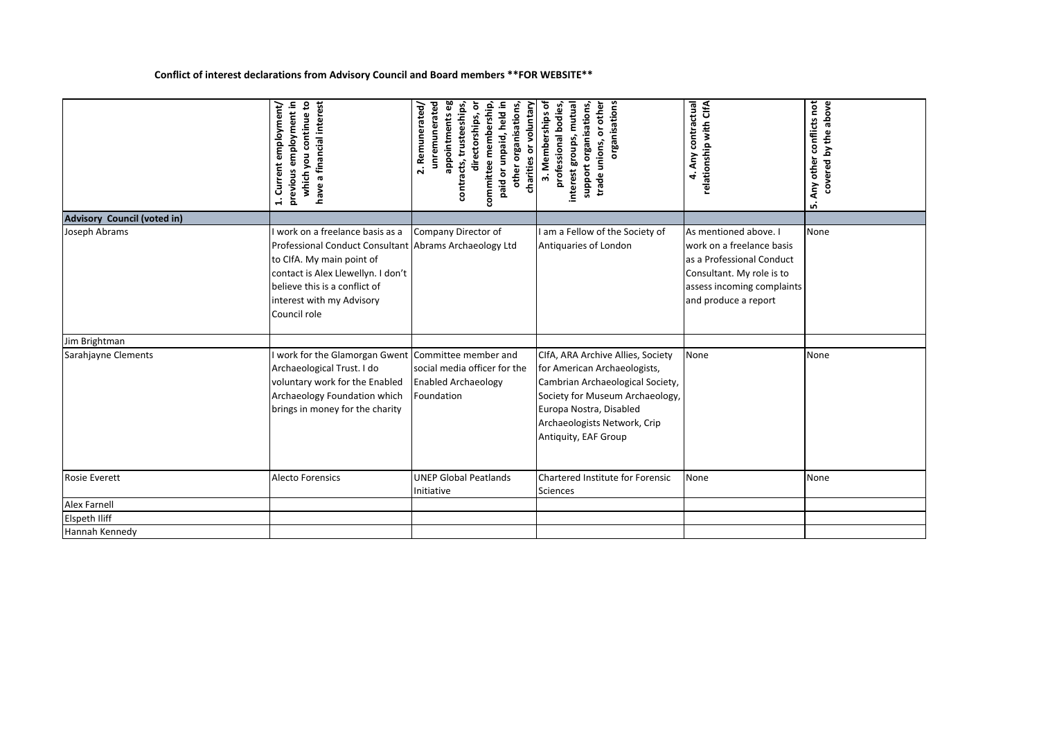## **Conflict of interest declarations from Advisory Council and Board members \*\*FOR WEBSITE\*\***

|                             | have a financial interest<br>previous employment in<br>which you continue to<br>employment/<br>Current<br>$\ddot{ }$                                                                                                                        | appointmentseg<br>committee membership,<br>other organisations,<br>unremunerated<br>paid or unpaid, held in<br>charities or voluntary<br>trusteeships,<br>ō<br>2. Remunerated/<br>directorships,<br>contracts, | 3. Memberships of<br>organisations<br>support organisations,<br>interest groups, mutual<br>professional bodies,<br>trade unions, or other                                                                                   | 4. Any contractual<br>relationship with CIfA                                                                                                                       | Any other conflicts not<br>covered by the above<br>ம் |
|-----------------------------|---------------------------------------------------------------------------------------------------------------------------------------------------------------------------------------------------------------------------------------------|----------------------------------------------------------------------------------------------------------------------------------------------------------------------------------------------------------------|-----------------------------------------------------------------------------------------------------------------------------------------------------------------------------------------------------------------------------|--------------------------------------------------------------------------------------------------------------------------------------------------------------------|-------------------------------------------------------|
| Advisory Council (voted in) |                                                                                                                                                                                                                                             |                                                                                                                                                                                                                |                                                                                                                                                                                                                             |                                                                                                                                                                    |                                                       |
| Joseph Abrams               | I work on a freelance basis as a<br>Professional Conduct Consultant Abrams Archaeology Ltd<br>to ClfA. My main point of<br>contact is Alex Llewellyn. I don't<br>believe this is a conflict of<br>interest with my Advisory<br>Council role | Company Director of                                                                                                                                                                                            | I am a Fellow of the Society of<br>Antiquaries of London                                                                                                                                                                    | As mentioned above. I<br>work on a freelance basis<br>as a Professional Conduct<br>Consultant. My role is to<br>assess incoming complaints<br>and produce a report | None                                                  |
| Jim Brightman               |                                                                                                                                                                                                                                             |                                                                                                                                                                                                                |                                                                                                                                                                                                                             |                                                                                                                                                                    |                                                       |
| Sarahjayne Clements         | I work for the Glamorgan Gwent<br>Archaeological Trust. I do<br>voluntary work for the Enabled<br>Archaeology Foundation which<br>brings in money for the charity                                                                           | Committee member and<br>social media officer for the<br><b>Enabled Archaeology</b><br>Foundation                                                                                                               | CIfA, ARA Archive Allies, Society<br>for American Archaeologists,<br>Cambrian Archaeological Society,<br>Society for Museum Archaeology,<br>Europa Nostra, Disabled<br>Archaeologists Network, Crip<br>Antiquity, EAF Group | None                                                                                                                                                               | None                                                  |
| <b>Rosie Everett</b>        | <b>Alecto Forensics</b>                                                                                                                                                                                                                     | <b>UNEP Global Peatlands</b><br>Initiative                                                                                                                                                                     | Chartered Institute for Forensic<br>Sciences                                                                                                                                                                                | None                                                                                                                                                               | None                                                  |
| <b>Alex Farnell</b>         |                                                                                                                                                                                                                                             |                                                                                                                                                                                                                |                                                                                                                                                                                                                             |                                                                                                                                                                    |                                                       |
| <b>Elspeth Iliff</b>        |                                                                                                                                                                                                                                             |                                                                                                                                                                                                                |                                                                                                                                                                                                                             |                                                                                                                                                                    |                                                       |
| Hannah Kennedy              |                                                                                                                                                                                                                                             |                                                                                                                                                                                                                |                                                                                                                                                                                                                             |                                                                                                                                                                    |                                                       |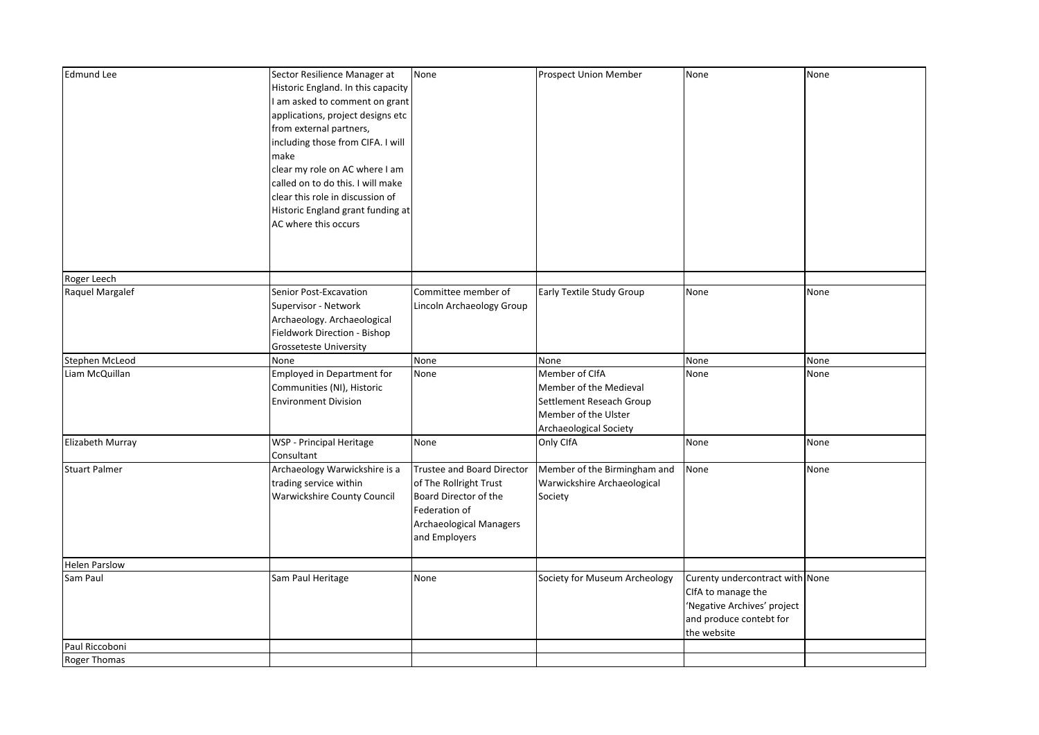| <b>Edmund Lee</b>    | Sector Resilience Manager at<br>Historic England. In this capacity | None                              | Prospect Union Member         | None                            | None |
|----------------------|--------------------------------------------------------------------|-----------------------------------|-------------------------------|---------------------------------|------|
|                      | I am asked to comment on grant                                     |                                   |                               |                                 |      |
|                      | applications, project designs etc                                  |                                   |                               |                                 |      |
|                      | from external partners,                                            |                                   |                               |                                 |      |
|                      | including those from CIFA. I will                                  |                                   |                               |                                 |      |
|                      | make                                                               |                                   |                               |                                 |      |
|                      | clear my role on AC where I am                                     |                                   |                               |                                 |      |
|                      | called on to do this. I will make                                  |                                   |                               |                                 |      |
|                      | clear this role in discussion of                                   |                                   |                               |                                 |      |
|                      | Historic England grant funding at                                  |                                   |                               |                                 |      |
|                      | AC where this occurs                                               |                                   |                               |                                 |      |
|                      |                                                                    |                                   |                               |                                 |      |
|                      |                                                                    |                                   |                               |                                 |      |
|                      |                                                                    |                                   |                               |                                 |      |
| Roger Leech          |                                                                    |                                   |                               |                                 |      |
| Raquel Margalef      | Senior Post-Excavation                                             | Committee member of               | Early Textile Study Group     | None                            | None |
|                      | Supervisor - Network                                               | Lincoln Archaeology Group         |                               |                                 |      |
|                      | Archaeology. Archaeological                                        |                                   |                               |                                 |      |
|                      | Fieldwork Direction - Bishop                                       |                                   |                               |                                 |      |
|                      | Grosseteste University                                             |                                   |                               |                                 |      |
| Stephen McLeod       | None                                                               | None                              | None                          | None                            | None |
| Liam McQuillan       | <b>Employed in Department for</b>                                  | None                              | Member of CIfA                | None                            | None |
|                      | Communities (NI), Historic                                         |                                   | Member of the Medieval        |                                 |      |
|                      | <b>Environment Division</b>                                        |                                   | Settlement Reseach Group      |                                 |      |
|                      |                                                                    |                                   | Member of the Ulster          |                                 |      |
|                      |                                                                    |                                   | Archaeological Society        |                                 |      |
| Elizabeth Murray     | WSP - Principal Heritage                                           | None                              | Only CIfA                     | None                            | None |
|                      | Consultant                                                         |                                   |                               |                                 |      |
| <b>Stuart Palmer</b> | Archaeology Warwickshire is a                                      | <b>Trustee and Board Director</b> | Member of the Birmingham and  | None                            | None |
|                      | trading service within                                             | of The Rollright Trust            | Warwickshire Archaeological   |                                 |      |
|                      | <b>Warwickshire County Council</b>                                 | Board Director of the             | Society                       |                                 |      |
|                      |                                                                    | Federation of                     |                               |                                 |      |
|                      |                                                                    | Archaeological Managers           |                               |                                 |      |
|                      |                                                                    | and Employers                     |                               |                                 |      |
| <b>Helen Parslow</b> |                                                                    |                                   |                               |                                 |      |
| Sam Paul             | Sam Paul Heritage                                                  | None                              | Society for Museum Archeology | Curenty undercontract with None |      |
|                      |                                                                    |                                   |                               | CIfA to manage the              |      |
|                      |                                                                    |                                   |                               | 'Negative Archives' project     |      |
|                      |                                                                    |                                   |                               | and produce contebt for         |      |
|                      |                                                                    |                                   |                               | the website                     |      |
| Paul Riccoboni       |                                                                    |                                   |                               |                                 |      |
| <b>Roger Thomas</b>  |                                                                    |                                   |                               |                                 |      |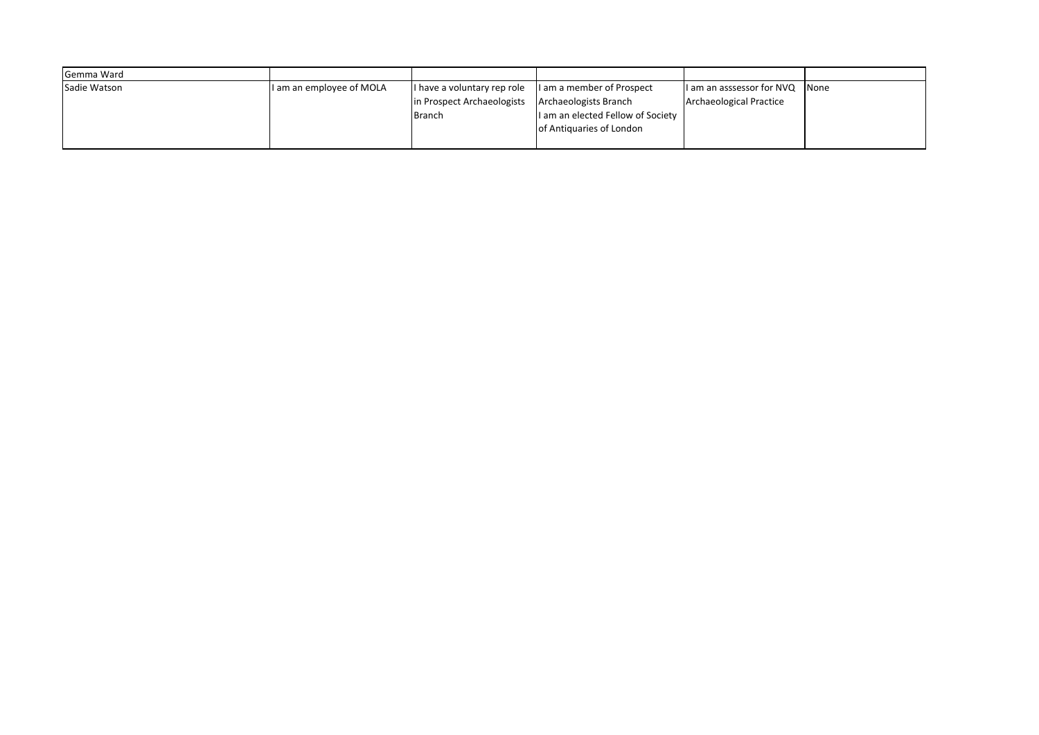| Gemma Ward   |                          |                             |                                   |                                |  |
|--------------|--------------------------|-----------------------------|-----------------------------------|--------------------------------|--|
| Sadie Watson | I am an employee of MOLA | I have a voluntary rep role | I am a member of Prospect         | I am an asssessor for NVQ None |  |
|              |                          | in Prospect Archaeologists  | Archaeologists Branch             | <b>Archaeological Practice</b> |  |
|              |                          | <b>Branch</b>               | I am an elected Fellow of Society |                                |  |
|              |                          |                             | of Antiquaries of London          |                                |  |
|              |                          |                             |                                   |                                |  |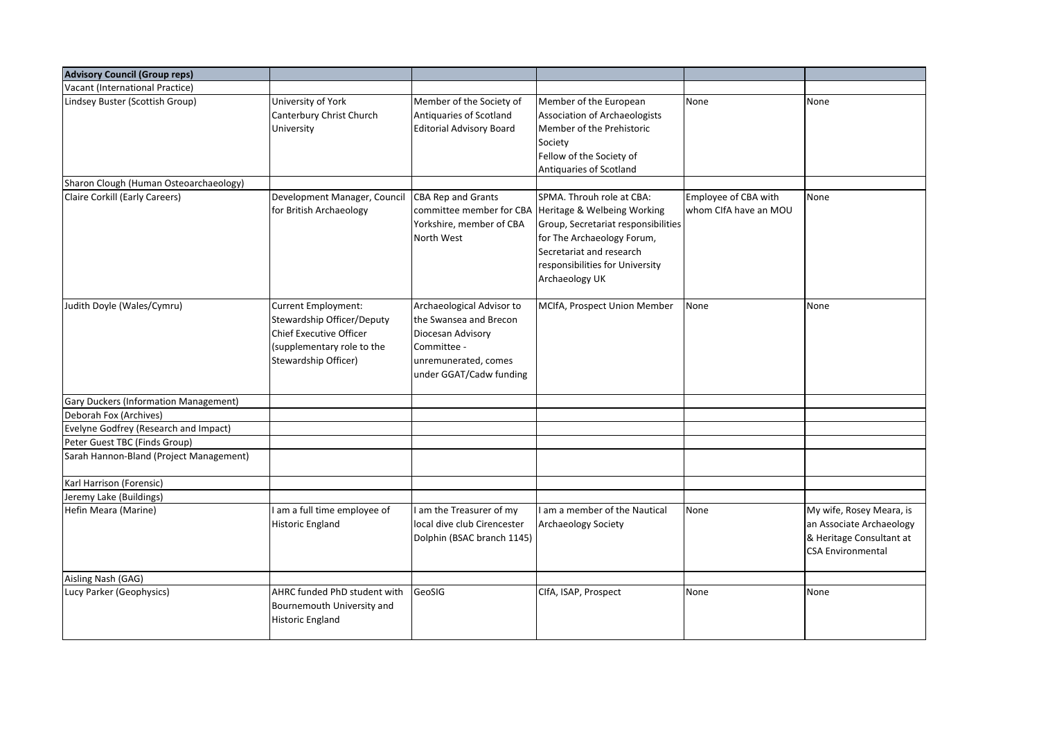| <b>Advisory Council (Group reps)</b>         |                                                                                                                                    |                                                                                                                                            |                                                                                                                                                                                                                                         |                                               |                                                                                                              |
|----------------------------------------------|------------------------------------------------------------------------------------------------------------------------------------|--------------------------------------------------------------------------------------------------------------------------------------------|-----------------------------------------------------------------------------------------------------------------------------------------------------------------------------------------------------------------------------------------|-----------------------------------------------|--------------------------------------------------------------------------------------------------------------|
| Vacant (International Practice)              |                                                                                                                                    |                                                                                                                                            |                                                                                                                                                                                                                                         |                                               |                                                                                                              |
| Lindsey Buster (Scottish Group)              | University of York<br>Canterbury Christ Church<br>University                                                                       | Member of the Society of<br>Antiquaries of Scotland<br><b>Editorial Advisory Board</b>                                                     | Member of the European<br>Association of Archaeologists<br>Member of the Prehistoric<br>Society<br>Fellow of the Society of<br>Antiquaries of Scotland                                                                                  | None                                          | None                                                                                                         |
| Sharon Clough (Human Osteoarchaeology)       |                                                                                                                                    |                                                                                                                                            |                                                                                                                                                                                                                                         |                                               |                                                                                                              |
| Claire Corkill (Early Careers)               | Development Manager, Council<br>for British Archaeology                                                                            | <b>CBA Rep and Grants</b><br>Yorkshire, member of CBA<br>North West                                                                        | SPMA. Throuh role at CBA:<br>committee member for CBA Heritage & Welbeing Working<br>Group, Secretariat responsibilities<br>for The Archaeology Forum,<br>Secretariat and research<br>responsibilities for University<br>Archaeology UK | Employee of CBA with<br>whom ClfA have an MOU | None                                                                                                         |
| Judith Doyle (Wales/Cymru)                   | Current Employment:<br>Stewardship Officer/Deputy<br>Chief Executive Officer<br>(supplementary role to the<br>Stewardship Officer) | Archaeological Advisor to<br>the Swansea and Brecon<br>Diocesan Advisory<br>Committee -<br>unremunerated, comes<br>under GGAT/Cadw funding | MCIfA, Prospect Union Member                                                                                                                                                                                                            | None                                          | None                                                                                                         |
| <b>Gary Duckers (Information Management)</b> |                                                                                                                                    |                                                                                                                                            |                                                                                                                                                                                                                                         |                                               |                                                                                                              |
| Deborah Fox (Archives)                       |                                                                                                                                    |                                                                                                                                            |                                                                                                                                                                                                                                         |                                               |                                                                                                              |
| Evelyne Godfrey (Research and Impact)        |                                                                                                                                    |                                                                                                                                            |                                                                                                                                                                                                                                         |                                               |                                                                                                              |
| Peter Guest TBC (Finds Group)                |                                                                                                                                    |                                                                                                                                            |                                                                                                                                                                                                                                         |                                               |                                                                                                              |
| Sarah Hannon-Bland (Project Management)      |                                                                                                                                    |                                                                                                                                            |                                                                                                                                                                                                                                         |                                               |                                                                                                              |
| Karl Harrison (Forensic)                     |                                                                                                                                    |                                                                                                                                            |                                                                                                                                                                                                                                         |                                               |                                                                                                              |
| Jeremy Lake (Buildings)                      |                                                                                                                                    |                                                                                                                                            |                                                                                                                                                                                                                                         |                                               |                                                                                                              |
| Hefin Meara (Marine)                         | I am a full time employee of<br><b>Historic England</b>                                                                            | am the Treasurer of my<br>local dive club Cirencester<br>Dolphin (BSAC branch 1145)                                                        | I am a member of the Nautical<br><b>Archaeology Society</b>                                                                                                                                                                             | None                                          | My wife, Rosey Meara, is<br>an Associate Archaeology<br>& Heritage Consultant at<br><b>CSA Environmental</b> |
| Aisling Nash (GAG)                           |                                                                                                                                    |                                                                                                                                            |                                                                                                                                                                                                                                         |                                               |                                                                                                              |
| Lucy Parker (Geophysics)                     | AHRC funded PhD student with<br>Bournemouth University and<br><b>Historic England</b>                                              | GeoSIG                                                                                                                                     | CIfA, ISAP, Prospect                                                                                                                                                                                                                    | None                                          | None                                                                                                         |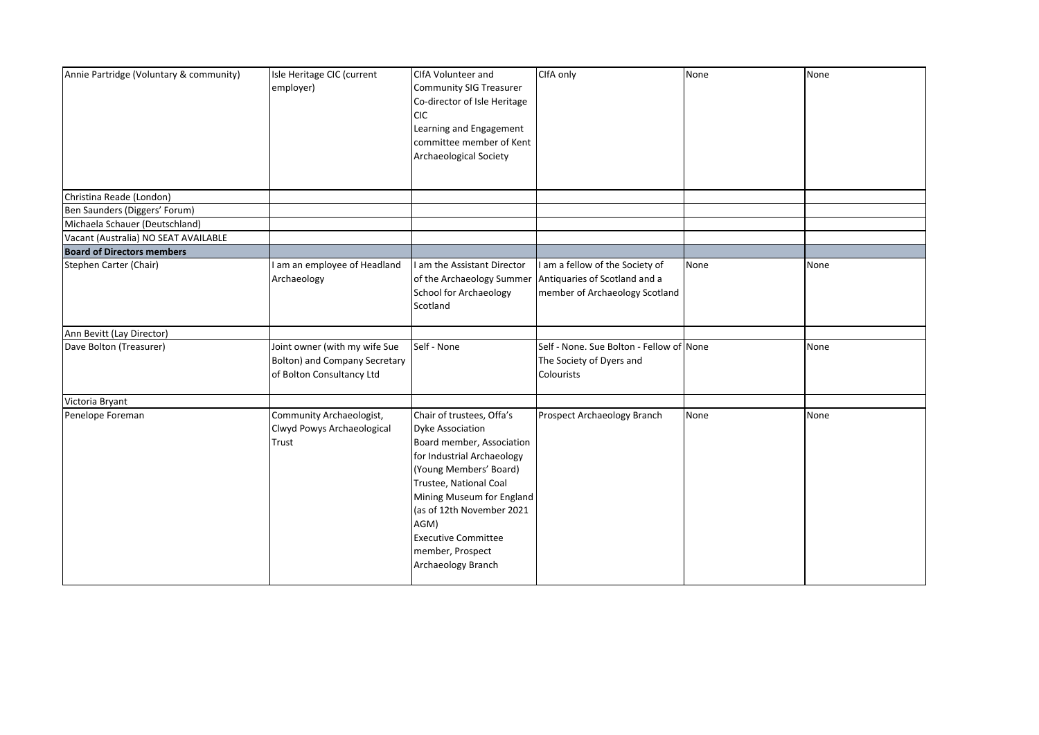| Annie Partridge (Voluntary & community) | Isle Heritage CIC (current<br>employer)                                                     | CIfA Volunteer and<br>Community SIG Treasurer<br>Co-director of Isle Heritage<br><b>CIC</b><br>Learning and Engagement<br>committee member of Kent                                                                                                                                                            | CIfA only                                                                                                                  | None | None |
|-----------------------------------------|---------------------------------------------------------------------------------------------|---------------------------------------------------------------------------------------------------------------------------------------------------------------------------------------------------------------------------------------------------------------------------------------------------------------|----------------------------------------------------------------------------------------------------------------------------|------|------|
|                                         |                                                                                             | Archaeological Society                                                                                                                                                                                                                                                                                        |                                                                                                                            |      |      |
| Christina Reade (London)                |                                                                                             |                                                                                                                                                                                                                                                                                                               |                                                                                                                            |      |      |
| Ben Saunders (Diggers' Forum)           |                                                                                             |                                                                                                                                                                                                                                                                                                               |                                                                                                                            |      |      |
| Michaela Schauer (Deutschland)          |                                                                                             |                                                                                                                                                                                                                                                                                                               |                                                                                                                            |      |      |
| Vacant (Australia) NO SEAT AVAILABLE    |                                                                                             |                                                                                                                                                                                                                                                                                                               |                                                                                                                            |      |      |
| <b>Board of Directors members</b>       |                                                                                             |                                                                                                                                                                                                                                                                                                               |                                                                                                                            |      |      |
| Stephen Carter (Chair)                  | am an employee of Headland<br>Archaeology                                                   | am the Assistant Director<br>School for Archaeology<br>Scotland                                                                                                                                                                                                                                               | am a fellow of the Society of<br>of the Archaeology Summer Antiquaries of Scotland and a<br>member of Archaeology Scotland | None | None |
| Ann Bevitt (Lay Director)               |                                                                                             |                                                                                                                                                                                                                                                                                                               |                                                                                                                            |      |      |
| Dave Bolton (Treasurer)                 | Joint owner (with my wife Sue<br>Bolton) and Company Secretary<br>of Bolton Consultancy Ltd | Self - None                                                                                                                                                                                                                                                                                                   | Self - None. Sue Bolton - Fellow of None<br>The Society of Dyers and<br>Colourists                                         |      | None |
| Victoria Bryant                         |                                                                                             |                                                                                                                                                                                                                                                                                                               |                                                                                                                            |      |      |
| Penelope Foreman                        | Community Archaeologist,<br>Clwyd Powys Archaeological<br>Trust                             | Chair of trustees, Offa's<br><b>Dyke Association</b><br>Board member, Association<br>for Industrial Archaeology<br>(Young Members' Board)<br>Trustee, National Coal<br>Mining Museum for England<br>(as of 12th November 2021<br>AGM)<br><b>Executive Committee</b><br>member, Prospect<br>Archaeology Branch | Prospect Archaeology Branch                                                                                                | None | None |